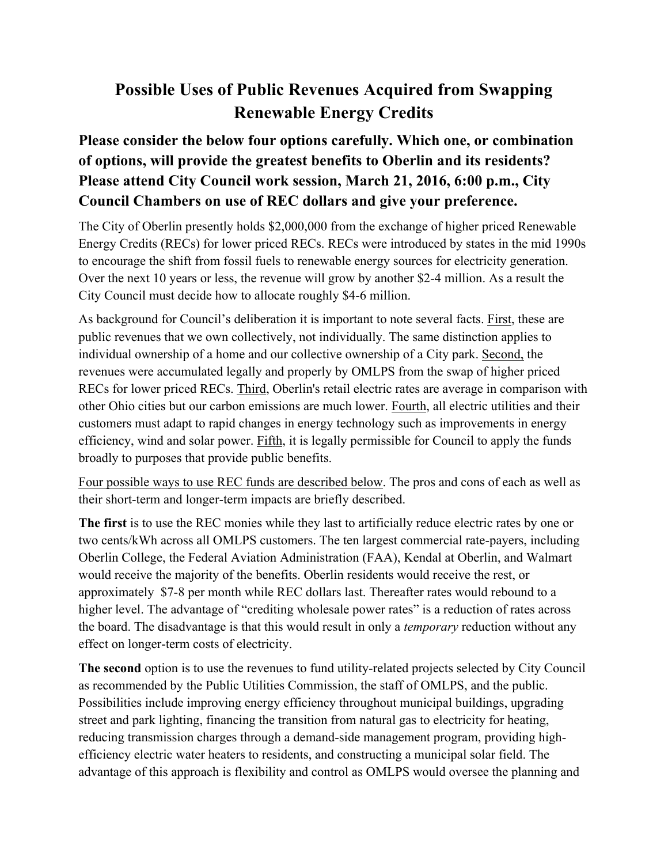## **Possible Uses of Public Revenues Acquired from Swapping Renewable Energy Credits**

## **Please consider the below four options carefully. Which one, or combination of options, will provide the greatest benefits to Oberlin and its residents? Please attend City Council work session, March 21, 2016, 6:00 p.m., City Council Chambers on use of REC dollars and give your preference.**

The City of Oberlin presently holds \$2,000,000 from the exchange of higher priced Renewable Energy Credits (RECs) for lower priced RECs. RECs were introduced by states in the mid 1990s to encourage the shift from fossil fuels to renewable energy sources for electricity generation. Over the next 10 years or less, the revenue will grow by another \$2-4 million. As a result the City Council must decide how to allocate roughly \$4-6 million.

As background for Council's deliberation it is important to note several facts. First, these are public revenues that we own collectively, not individually. The same distinction applies to individual ownership of a home and our collective ownership of a City park. Second, the revenues were accumulated legally and properly by OMLPS from the swap of higher priced RECs for lower priced RECs. Third, Oberlin's retail electric rates are average in comparison with other Ohio cities but our carbon emissions are much lower. Fourth, all electric utilities and their customers must adapt to rapid changes in energy technology such as improvements in energy efficiency, wind and solar power. Fifth, it is legally permissible for Council to apply the funds broadly to purposes that provide public benefits.

Four possible ways to use REC funds are described below. The pros and cons of each as well as their short-term and longer-term impacts are briefly described.

**The first** is to use the REC monies while they last to artificially reduce electric rates by one or two cents/kWh across all OMLPS customers. The ten largest commercial rate-payers, including Oberlin College, the Federal Aviation Administration (FAA), Kendal at Oberlin, and Walmart would receive the majority of the benefits. Oberlin residents would receive the rest, or approximately \$7-8 per month while REC dollars last. Thereafter rates would rebound to a higher level. The advantage of "crediting wholesale power rates" is a reduction of rates across the board. The disadvantage is that this would result in only a *temporary* reduction without any effect on longer-term costs of electricity.

**The second** option is to use the revenues to fund utility-related projects selected by City Council as recommended by the Public Utilities Commission, the staff of OMLPS, and the public. Possibilities include improving energy efficiency throughout municipal buildings, upgrading street and park lighting, financing the transition from natural gas to electricity for heating, reducing transmission charges through a demand-side management program, providing highefficiency electric water heaters to residents, and constructing a municipal solar field. The advantage of this approach is flexibility and control as OMLPS would oversee the planning and